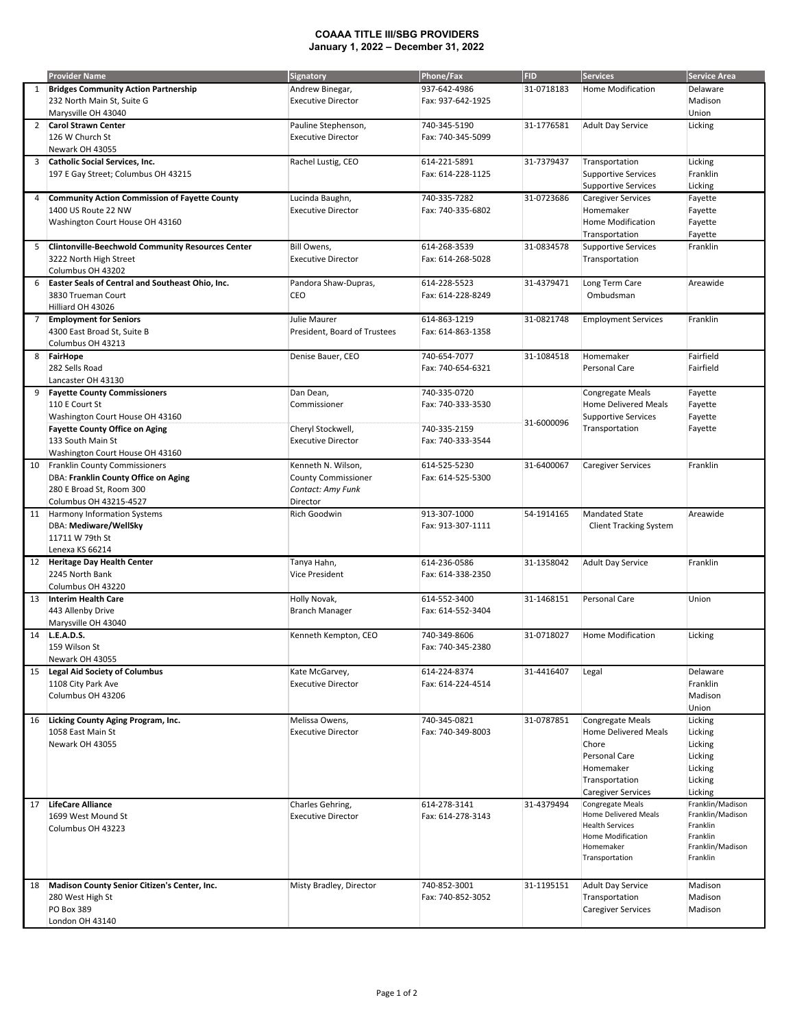## **COAAA TITLE III/SBG PROVIDERS January 1, 2022 – December 31, 2022**

|                | <b>Provider Name</b>                                                               | <b>Signatory</b>                         | Phone/Fax                         | <b>FID</b> | <b>Services</b>                             | <b>Service Area</b> |
|----------------|------------------------------------------------------------------------------------|------------------------------------------|-----------------------------------|------------|---------------------------------------------|---------------------|
| 1              | <b>Bridges Community Action Partnership</b>                                        | Andrew Binegar,                          | 937-642-4986                      | 31-0718183 | <b>Home Modification</b>                    | Delaware            |
|                | 232 North Main St, Suite G                                                         | <b>Executive Director</b>                | Fax: 937-642-1925                 |            |                                             | Madison             |
|                | Marysville OH 43040                                                                |                                          |                                   |            |                                             | Union               |
| $\overline{2}$ | <b>Carol Strawn Center</b>                                                         | Pauline Stephenson,                      | 740-345-5190                      | 31-1776581 | <b>Adult Day Service</b>                    | Licking             |
|                | 126 W Church St                                                                    | <b>Executive Director</b>                | Fax: 740-345-5099                 |            |                                             |                     |
|                | Newark OH 43055                                                                    |                                          |                                   |            |                                             |                     |
| 3              | Catholic Social Services, Inc.                                                     | Rachel Lustig, CEO                       | 614-221-5891                      | 31-7379437 | Transportation                              | Licking             |
|                | 197 E Gay Street; Columbus OH 43215                                                |                                          | Fax: 614-228-1125                 |            | <b>Supportive Services</b>                  | Franklin            |
|                |                                                                                    |                                          |                                   |            | <b>Supportive Services</b>                  | Licking             |
| 4              | <b>Community Action Commission of Fayette County</b>                               | Lucinda Baughn,                          | 740-335-7282                      | 31-0723686 | <b>Caregiver Services</b>                   | Fayette             |
|                | 1400 US Route 22 NW                                                                | <b>Executive Director</b>                | Fax: 740-335-6802                 |            | Homemaker                                   | Fayette             |
|                | Washington Court House OH 43160                                                    |                                          |                                   |            | Home Modification                           | Fayette             |
|                |                                                                                    |                                          |                                   |            | Transportation                              | Fayette             |
| 5              | <b>Clintonville-Beechwold Community Resources Center</b><br>3222 North High Street | Bill Owens,<br><b>Executive Director</b> | 614-268-3539<br>Fax: 614-268-5028 | 31-0834578 | <b>Supportive Services</b>                  | Franklin            |
|                | Columbus OH 43202                                                                  |                                          |                                   |            | Transportation                              |                     |
| 6              | Easter Seals of Central and Southeast Ohio, Inc.                                   | Pandora Shaw-Dupras,                     | 614-228-5523                      | 31-4379471 | Long Term Care                              | Areawide            |
|                | 3830 Trueman Court                                                                 | CEO                                      | Fax: 614-228-8249                 |            | Ombudsman                                   |                     |
|                | Hilliard OH 43026                                                                  |                                          |                                   |            |                                             |                     |
| 7              | <b>Employment for Seniors</b>                                                      | Julie Maurer                             | 614-863-1219                      | 31-0821748 | <b>Employment Services</b>                  | Franklin            |
|                | 4300 East Broad St, Suite B                                                        | President, Board of Trustees             | Fax: 614-863-1358                 |            |                                             |                     |
|                | Columbus OH 43213                                                                  |                                          |                                   |            |                                             |                     |
| 8              | FairHope                                                                           | Denise Bauer, CEO                        | 740-654-7077                      | 31-1084518 | Homemaker                                   | Fairfield           |
|                | 282 Sells Road                                                                     |                                          | Fax: 740-654-6321                 |            | Personal Care                               | Fairfield           |
|                | Lancaster OH 43130                                                                 |                                          |                                   |            |                                             |                     |
| 9              | <b>Fayette County Commissioners</b>                                                | Dan Dean,                                | 740-335-0720                      |            | Congregate Meals                            | Fayette             |
|                | 110 E Court St                                                                     | Commissioner                             | Fax: 740-333-3530                 |            | <b>Home Delivered Meals</b>                 | Fayette             |
|                | Washington Court House OH 43160                                                    |                                          |                                   | 31-6000096 | <b>Supportive Services</b>                  | Fayette             |
|                | <b>Fayette County Office on Aging</b>                                              | Cheryl Stockwell,                        | 740-335-2159                      |            | Transportation                              | Fayette             |
|                | 133 South Main St                                                                  | <b>Executive Director</b>                | Fax: 740-333-3544                 |            |                                             |                     |
|                | Washington Court House OH 43160                                                    |                                          |                                   |            |                                             |                     |
| 10             | <b>Franklin County Commissioners</b>                                               | Kenneth N. Wilson,                       | 614-525-5230                      | 31-6400067 | <b>Caregiver Services</b>                   | Franklin            |
|                | DBA: Franklin County Office on Aging                                               | <b>County Commissioner</b>               | Fax: 614-525-5300                 |            |                                             |                     |
|                | 280 E Broad St, Room 300                                                           | Contact: Amy Funk                        |                                   |            |                                             |                     |
|                | Columbus OH 43215-4527                                                             | Director                                 |                                   |            |                                             |                     |
| 11             | Harmony Information Systems                                                        | Rich Goodwin                             | 913-307-1000                      | 54-1914165 | <b>Mandated State</b>                       | Areawide            |
|                | DBA: Mediware/WellSky                                                              |                                          | Fax: 913-307-1111                 |            | <b>Client Tracking System</b>               |                     |
|                | 11711 W 79th St<br>Lenexa KS 66214                                                 |                                          |                                   |            |                                             |                     |
| 12             | <b>Heritage Day Health Center</b>                                                  | Tanya Hahn,                              | 614-236-0586                      | 31-1358042 | <b>Adult Day Service</b>                    | Franklin            |
|                | 2245 North Bank                                                                    | <b>Vice President</b>                    | Fax: 614-338-2350                 |            |                                             |                     |
|                | Columbus OH 43220                                                                  |                                          |                                   |            |                                             |                     |
| 13             | Interim Health Care                                                                | Holly Novak,                             | 614-552-3400                      | 31-1468151 | Personal Care                               | Union               |
|                | 443 Allenby Drive                                                                  | <b>Branch Manager</b>                    | Fax: 614-552-3404                 |            |                                             |                     |
|                | Marysville OH 43040                                                                |                                          |                                   |            |                                             |                     |
| 14             | L.E.A.D.S.                                                                         | Kenneth Kempton, CEO                     | 740-349-8606                      | 31-0718027 | Home Modification                           | Licking             |
|                | 159 Wilson St                                                                      |                                          | Fax: 740-345-2380                 |            |                                             |                     |
|                | Newark OH 43055                                                                    |                                          |                                   |            |                                             |                     |
| 15             | <b>Legal Aid Society of Columbus</b>                                               | Kate McGarvey,                           | 614-224-8374                      | 31-4416407 | Legal                                       | Delaware            |
|                | 1108 City Park Ave                                                                 | <b>Executive Director</b>                | Fax: 614-224-4514                 |            |                                             | Franklin            |
|                | Columbus OH 43206                                                                  |                                          |                                   |            |                                             | Madison             |
|                |                                                                                    |                                          |                                   |            |                                             | Union               |
| 16             | Licking County Aging Program, Inc.                                                 | Melissa Owens,                           | 740-345-0821                      | 31-0787851 | <b>Congregate Meals</b>                     | Licking             |
|                | 1058 East Main St                                                                  | <b>Executive Director</b>                | Fax: 740-349-8003                 |            | Home Delivered Meals                        | Licking             |
|                | Newark OH 43055                                                                    |                                          |                                   |            | Chore                                       | Licking             |
|                |                                                                                    |                                          |                                   |            | Personal Care<br>Homemaker                  | Licking             |
|                |                                                                                    |                                          |                                   |            |                                             | Licking             |
|                |                                                                                    |                                          |                                   |            | Transportation<br><b>Caregiver Services</b> | Licking<br>Licking  |
| 17             | <b>LifeCare Alliance</b>                                                           | Charles Gehring,                         | 614-278-3141                      | 31-4379494 | Congregate Meals                            | Franklin/Madison    |
|                | 1699 West Mound St                                                                 | <b>Executive Director</b>                | Fax: 614-278-3143                 |            | Home Delivered Meals                        | Franklin/Madison    |
|                | Columbus OH 43223                                                                  |                                          |                                   |            | <b>Health Services</b>                      | Franklin            |
|                |                                                                                    |                                          |                                   |            | Home Modification                           | Franklin            |
|                |                                                                                    |                                          |                                   |            | Homemaker                                   | Franklin/Madison    |
|                |                                                                                    |                                          |                                   |            | Transportation                              | Franklin            |
|                |                                                                                    |                                          |                                   |            |                                             |                     |
| 18             | Madison County Senior Citizen's Center, Inc.                                       | Misty Bradley, Director                  | 740-852-3001                      | 31-1195151 | <b>Adult Day Service</b>                    | Madison             |
|                | 280 West High St                                                                   |                                          | Fax: 740-852-3052                 |            | Transportation                              | Madison             |
|                | PO Box 389                                                                         |                                          |                                   |            | <b>Caregiver Services</b>                   | Madison             |
|                | London OH 43140                                                                    |                                          |                                   |            |                                             |                     |